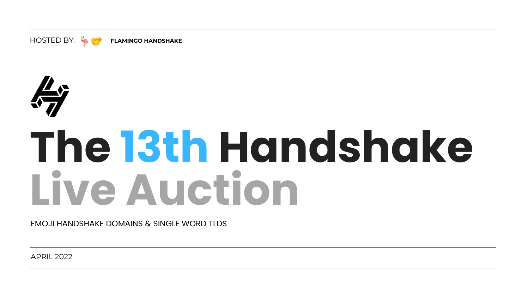# **The 13th Handshake Live Auction**



APRIL 2022

EMOJI HANDSHAKE DOMAINS & SINGLE WORD TLDS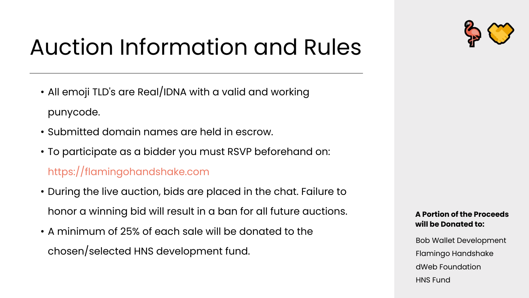### Auction Information and Rules

- All emoji TLD's are Real/IDNA with a valid and working punycode.
- Submitted domain names are held in escrow.
- To participate as a bidder you must RSVP beforehand on: https://flamingohandshake.com
- During the live auction, bids are placed in the chat. Failure to honor a winning bid will result in a ban for all future auctions.
- A minimum of 25% of each sale will be donated to the chosen/selected HNS development fund.



Bob Wallet Development Flamingo Handshake dWeb Foundation HNS Fund

#### **A Portion of the Proceeds will be Donated to:**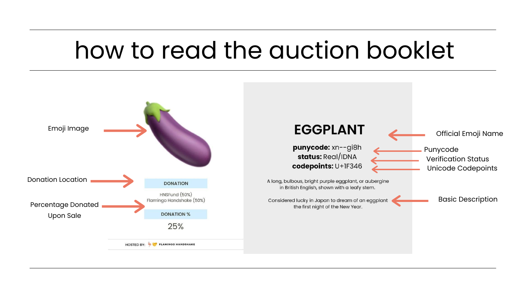# how to read the auction booklet





**EGGPLANT** 

punycode: xn--gi8h status: Real/IDNA codepoints: U+1F346

A long, bulbous, bright purple eggplant, or aubergine in British English, shown with a leafy stem.

the first night of the New Year.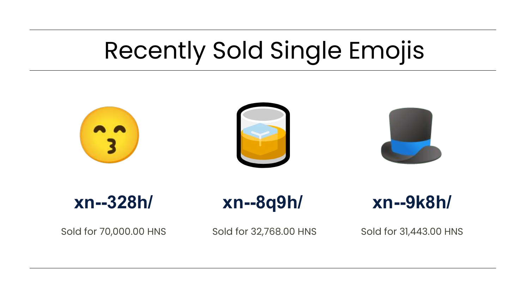



Sold for 70,000.00 HNS Sold for 32,768.00 HNS Sold for 31,443.00 HNS



### **xn--9k8h/**

# Recently Sold Single Emojis

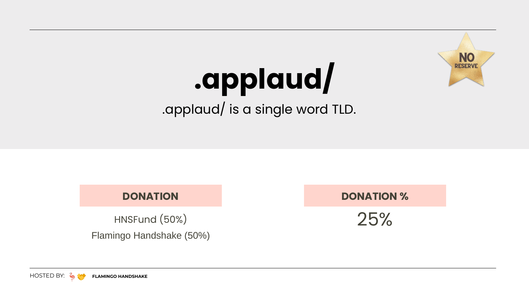### **DONATION**

25%

#### **DONATION %**

# **.applaud/**

.applaud/ is a single word TLD.



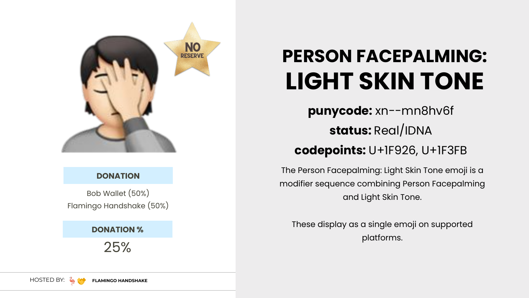Bob Wallet (50%) Flamingo Handshake (50%)



#### **DONATION**

25%



### **PERSON FACEPALMING: LIGHT SKIN TONE**

- **punycode:** xn--mn8hv6f
	- **status:** Real/IDNA
- **codepoints:** U+1F926, U+1F3FB
- The Person Facepalming: Light Skin Tone emoji is a modifier sequence combining Person Facepalming and Light Skin Tone.
	- These display as a single emoji on supported platforms.

HOSTED BY: **FLAMINGO HANDSHAKE**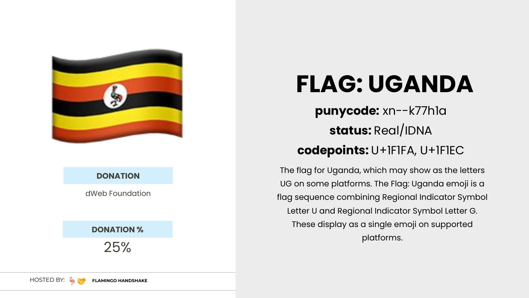dWeb Foundation



#### **DONATION**

25%

**DONATION %**

### **punycode:** xn--k77h1a **status:** Real/IDNA **codepoints:** U+1F1FA, U+1F1EC

The flag for Uganda, which may show as the letters UG on some platforms. The Flag: Uganda emoji is a flag sequence combining Regional Indicator Symbol

Letter U and Regional Indicator Symbol Letter G. These display as a single emoji on supported platforms.



## **FLAG: UGANDA**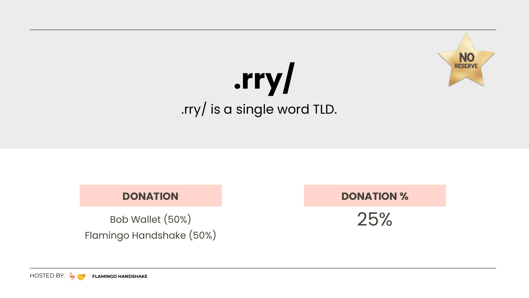Bob Wallet (50%) Flamingo Handshake (50%)

#### **DONATION**

25%

#### **DONATION %**

## **.rry/** .rry/ is a single word TLD.



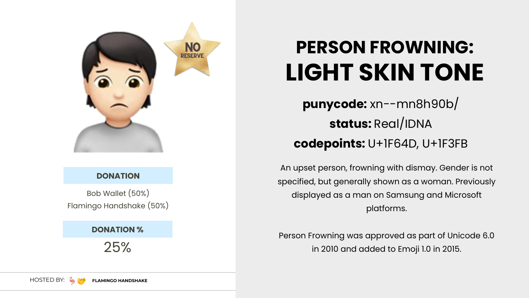Bob Wallet (50%) Flamingo Handshake (50%)

#### **DONATION**

25%

**DONATION %**

- **punycode:** xn--mn8h90b/
	- **status:** Real/IDNA
- **codepoints:** U+1F64D, U+1F3FB
- An upset person, frowning with dismay. Gender is not
- specified, but generally shown as a woman. Previously
	- displayed as a man on Samsung and Microsoft platforms.
- Person Frowning was approved as part of Unicode 6.0 in 2010 and added to Emoji 1.0 in 2015.



### **PERSON FROWNING: LIGHT SKIN TONE**

**NO PESERV**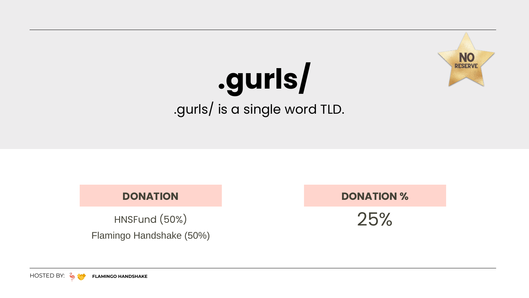### **DONATION**

### 25%

#### **DONATION %**

# **.gurls/** .gurls/ is a single word TLD.



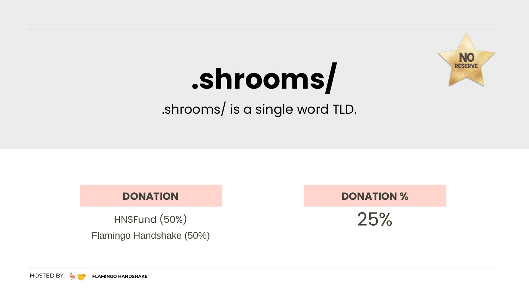### **DONATION**

25%

#### **DONATION %**

# **.shrooms/**

.shrooms/ is a single word TLD.



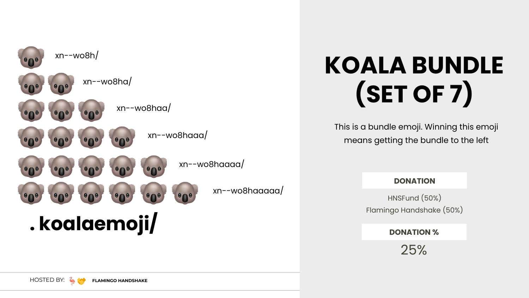This is a bundle emoji. Winning this emoji means getting the bundle to the left



# **KOALA BUNDLE (SET OF 7)**

HNSFund (50%) Flamingo Handshake (50%)



#### **DONATION**

25%

#### **DONATION %**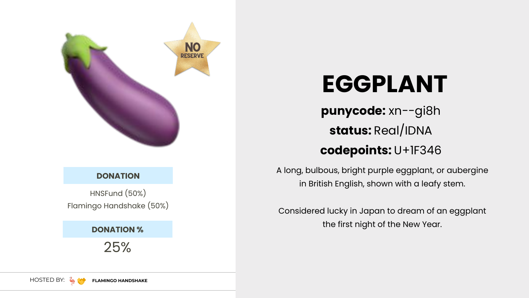

#### **DONATION**

25%

**DONATION %**

### **EGGPLANT**

### **punycode:** xn--gi8h

### **status:** Real/IDNA

### **codepoints:** U+1F346

A long, bulbous, bright purple eggplant, or aubergine in British English, shown with a leafy stem.

Considered lucky in Japan to dream of an eggplant the first night of the New Year.



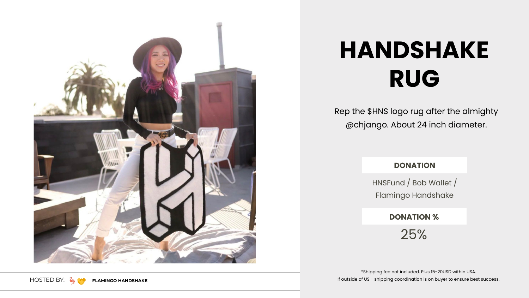Rep the \$HNS logo rug after the almighty @chjango. About 24 inch diameter.





# **HANDSHAKE RUG**

HNSFund / Bob Wallet / Flamingo Handshake

#### **DONATION**

25%

**DONATION %**

\*Shipping fee not included. Plus 15-20USD within USA. If outside of US - shipping coordination is on buyer to ensure best success.